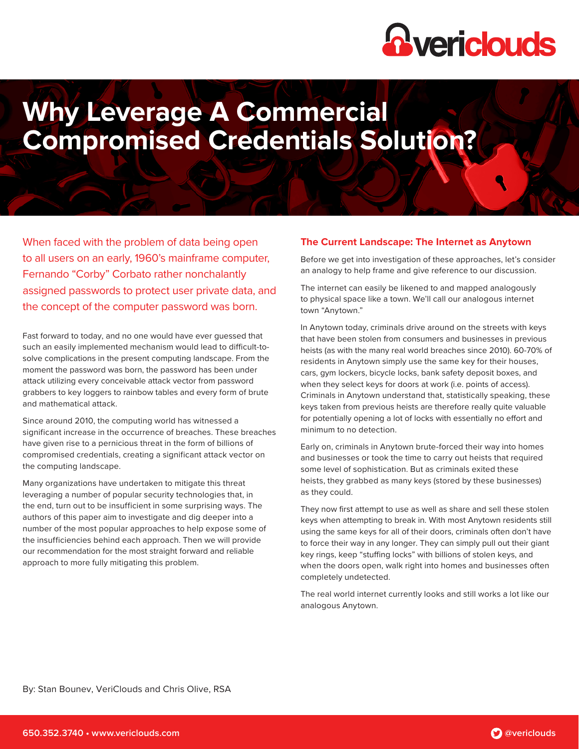

# **Why Leverage A Commercial Compromised Credentials Solution?**

When faced with the problem of data being open to all users on an early, 1960's mainframe computer, Fernando "Corby" Corbato rather nonchalantly assigned passwords to protect user private data, and the concept of the computer password was born.

Fast forward to today, and no one would have ever guessed that such an easily implemented mechanism would lead to difficult-tosolve complications in the present computing landscape. From the moment the password was born, the password has been under attack utilizing every conceivable attack vector from password grabbers to key loggers to rainbow tables and every form of brute and mathematical attack.

Since around 2010, the computing world has witnessed a significant increase in the occurrence of breaches. These breaches have given rise to a pernicious threat in the form of billions of compromised credentials, creating a significant attack vector on the computing landscape.

Many organizations have undertaken to mitigate this threat leveraging a number of popular security technologies that, in the end, turn out to be insufficient in some surprising ways. The authors of this paper aim to investigate and dig deeper into a number of the most popular approaches to help expose some of the insufficiencies behind each approach. Then we will provide our recommendation for the most straight forward and reliable approach to more fully mitigating this problem.

# **The Current Landscape: The Internet as Anytown**

Before we get into investigation of these approaches, let's consider an analogy to help frame and give reference to our discussion.

The internet can easily be likened to and mapped analogously to physical space like a town. We'll call our analogous internet town "Anytown."

In Anytown today, criminals drive around on the streets with keys that have been stolen from consumers and businesses in previous heists (as with the many real world breaches since 2010). 60-70% of residents in Anytown simply use the same key for their houses, cars, gym lockers, bicycle locks, bank safety deposit boxes, and when they select keys for doors at work (i.e. points of access). Criminals in Anytown understand that, statistically speaking, these keys taken from previous heists are therefore really quite valuable for potentially opening a lot of locks with essentially no effort and minimum to no detection.

Early on, criminals in Anytown brute-forced their way into homes and businesses or took the time to carry out heists that required some level of sophistication. But as criminals exited these heists, they grabbed as many keys (stored by these businesses) as they could.

They now first attempt to use as well as share and sell these stolen keys when attempting to break in. With most Anytown residents still using the same keys for all of their doors, criminals often don't have to force their way in any longer. They can simply pull out their giant key rings, keep "stuffing locks" with billions of stolen keys, and when the doors open, walk right into homes and businesses often completely undetected.

The real world internet currently looks and still works a lot like our analogous Anytown.

By: Stan Bounev, VeriClouds and Chris Olive, RSA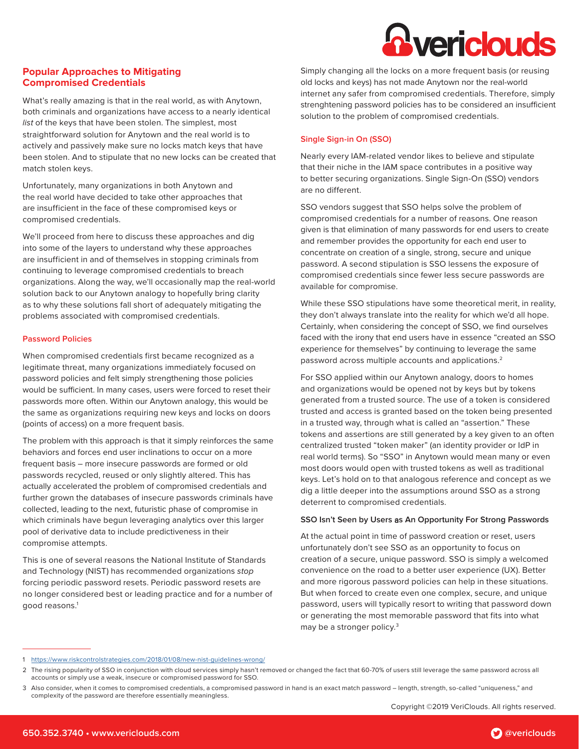# **R** vericlouds

# **Popular Approaches to Mitigating Compromised Credentials**

What's really amazing is that in the real world, as with Anytown, both criminals and organizations have access to a nearly identical list of the keys that have been stolen. The simplest, most straightforward solution for Anytown and the real world is to actively and passively make sure no locks match keys that have been stolen. And to stipulate that no new locks can be created that match stolen keys.

Unfortunately, many organizations in both Anytown and the real world have decided to take other approaches that are insufficient in the face of these compromised keys or compromised credentials.

We'll proceed from here to discuss these approaches and dig into some of the layers to understand why these approaches are insufficient in and of themselves in stopping criminals from continuing to leverage compromised credentials to breach organizations. Along the way, we'll occasionally map the real-world solution back to our Anytown analogy to hopefully bring clarity as to why these solutions fall short of adequately mitigating the problems associated with compromised credentials.

# **Password Policies**

When compromised credentials first became recognized as a legitimate threat, many organizations immediately focused on password policies and felt simply strengthening those policies would be sufficient. In many cases, users were forced to reset their passwords more often. Within our Anytown analogy, this would be the same as organizations requiring new keys and locks on doors (points of access) on a more frequent basis.

The problem with this approach is that it simply reinforces the same behaviors and forces end user inclinations to occur on a more frequent basis – more insecure passwords are formed or old passwords recycled, reused or only slightly altered. This has actually accelerated the problem of compromised credentials and further grown the databases of insecure passwords criminals have collected, leading to the next, futuristic phase of compromise in which criminals have begun leveraging analytics over this larger pool of derivative data to include predictiveness in their compromise attempts.

This is one of several reasons the National Institute of Standards and Technology (NIST) has recommended organizations stop forcing periodic password resets. Periodic password resets are no longer considered best or leading practice and for a number of good reasons.<sup>1</sup>

Simply changing all the locks on a more frequent basis (or reusing old locks and keys) has not made Anytown nor the real-world internet any safer from compromised credentials. Therefore, simply strenghtening password policies has to be considered an insufficient solution to the problem of compromised credentials.

# **Single Sign-in On (SSO)**

Nearly every IAM-related vendor likes to believe and stipulate that their niche in the IAM space contributes in a positive way to better securing organizations. Single Sign-On (SSO) vendors are no different.

SSO vendors suggest that SSO helps solve the problem of compromised credentials for a number of reasons. One reason given is that elimination of many passwords for end users to create and remember provides the opportunity for each end user to concentrate on creation of a single, strong, secure and unique password. A second stipulation is SSO lessens the exposure of compromised credentials since fewer less secure passwords are available for compromise.

While these SSO stipulations have some theoretical merit, in reality, they don't always translate into the reality for which we'd all hope. Certainly, when considering the concept of SSO, we find ourselves faced with the irony that end users have in essence "created an SSO experience for themselves" by continuing to leverage the same password across multiple accounts and applications.<sup>2</sup>

For SSO applied within our Anytown analogy, doors to homes and organizations would be opened not by keys but by tokens generated from a trusted source. The use of a token is considered trusted and access is granted based on the token being presented in a trusted way, through what is called an "assertion." These tokens and assertions are still generated by a key given to an often centralized trusted "token maker" (an identity provider or IdP in real world terms). So "SSO" in Anytown would mean many or even most doors would open with trusted tokens as well as traditional keys. Let's hold on to that analogous reference and concept as we dig a little deeper into the assumptions around SSO as a strong deterrent to compromised credentials.

# **SSO Isn't Seen by Users** a**s An Opportunity For Strong Passwords**

At the actual point in time of password creation or reset, users unfortunately don't see SSO as an opportunity to focus on creation of a secure, unique password. SSO is simply a welcomed convenience on the road to a better user experience (UX). Better and more rigorous password policies can help in these situations. But when forced to create even one complex, secure, and unique password, users will typically resort to writing that password down or generating the most memorable password that fits into what may be a stronger policy.3

<sup>1</sup> <https://www.riskcontrolstrategies.com/2018/01/08/new-nist-guidelines-wrong/>

<sup>2</sup> The rising popularity of SSO in conjunction with cloud services simply hasn't removed or changed the fact that 60-70% of users still leverage the same password across all accounts or simply use a weak, insecure or compromised password for SSO.

<sup>3</sup> Also consider, when it comes to compromised credentials, a compromised password in hand is an exact match password – length, strength, so-called "uniqueness," and complexity of the password are therefore essentially meaningless.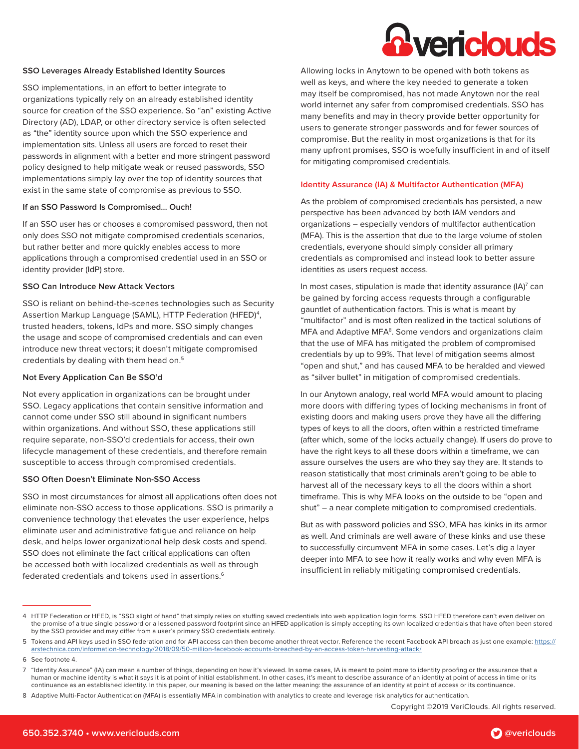# *<u>Avericlouds</u>*

#### **SSO Leverages Already Established Identity Sources**

SSO implementations, in an effort to better integrate to organizations typically rely on an already established identity source for creation of the SSO experience. So "an" existing Active Directory (AD), LDAP, or other directory service is often selected as "the" identity source upon which the SSO experience and implementation sits. Unless all users are forced to reset their passwords in alignment with a better and more stringent password policy designed to help mitigate weak or reused passwords, SSO implementations simply lay over the top of identity sources that exist in the same state of compromise as previous to SSO.

#### **If an SSO Password Is Compromised… Ouch!**

If an SSO user has or chooses a compromised password, then not only does SSO not mitigate compromised credentials scenarios, but rather better and more quickly enables access to more applications through a compromised credential used in an SSO or identity provider (IdP) store.

#### **SSO Can Introduce New Attack Vectors**

SSO is reliant on behind-the-scenes technologies such as Security Assertion Markup Language (SAML), HTTP Federation (HFED)<sup>4</sup>, trusted headers, tokens, IdPs and more. SSO simply changes the usage and scope of compromised credentials and can even introduce new threat vectors; it doesn't mitigate compromised credentials by dealing with them head on.<sup>5</sup>

#### **Not Every Application Can Be SSO'd**

Not every application in organizations can be brought under SSO. Legacy applications that contain sensitive information and cannot come under SSO still abound in significant numbers within organizations. And without SSO, these applications still require separate, non-SSO'd credentials for access, their own lifecycle management of these credentials, and therefore remain susceptible to access through compromised credentials.

### **SSO Often Doesn't Eliminate Non-SSO Access**

SSO in most circumstances for almost all applications often does not eliminate non-SSO access to those applications. SSO is primarily a convenience technology that elevates the user experience, helps eliminate user and administrative fatigue and reliance on help desk, and helps lower organizational help desk costs and spend. SSO does not eliminate the fact critical applications can often be accessed both with localized credentials as well as through federated credentials and tokens used in assertions.<sup>6</sup>

Allowing locks in Anytown to be opened with both tokens as well as keys, and where the key needed to generate a token may itself be compromised, has not made Anytown nor the real world internet any safer from compromised credentials. SSO has many benefits and may in theory provide better opportunity for users to generate stronger passwords and for fewer sources of compromise. But the reality in most organizations is that for its many upfront promises, SSO is woefully insufficient in and of itself for mitigating compromised credentials.

#### **Identity Assurance (IA) & Multifactor Authentication (MFA)**

As the problem of compromised credentials has persisted, a new perspective has been advanced by both IAM vendors and organizations – especially vendors of multifactor authentication (MFA). This is the assertion that due to the large volume of stolen credentials, everyone should simply consider all primary credentials as compromised and instead look to better assure identities as users request access.

In most cases, stipulation is made that identity assurance (IA) $^7$  can be gained by forcing access requests through a configurable gauntlet of authentication factors. This is what is meant by "multifactor" and is most often realized in the tactical solutions of MFA and Adaptive MFA<sup>8</sup>. Some vendors and organizations claim that the use of MFA has mitigated the problem of compromised credentials by up to 99%. That level of mitigation seems almost "open and shut," and has caused MFA to be heralded and viewed as "silver bullet" in mitigation of compromised credentials.

In our Anytown analogy, real world MFA would amount to placing more doors with differing types of locking mechanisms in front of existing doors and making users prove they have all the differing types of keys to all the doors, often within a restricted timeframe (after which, some of the locks actually change). If users do prove to have the right keys to all these doors within a timeframe, we can assure ourselves the users are who they say they are. It stands to reason statistically that most criminals aren't going to be able to harvest all of the necessary keys to all the doors within a short timeframe. This is why MFA looks on the outside to be "open and shut" – a near complete mitigation to compromised credentials.

But as with password policies and SSO, MFA has kinks in its armor as well. And criminals are well aware of these kinks and use these to successfully circumvent MFA in some cases. Let's dig a layer deeper into MFA to see how it really works and why even MFA is insufficient in reliably mitigating compromised credentials.

Copyright ©2019 VeriClouds. All rights reserved.



<sup>4</sup> HTTP Federation or HFED, is "SSO slight of hand" that simply relies on stuffing saved credentials into web application login forms. SSO HFED therefore can't even deliver on the promise of a true single password or a lessened password footprint since an HFED application is simply accepting its own localized credentials that have often been stored by the SSO provider and may differ from a user's primary SSO credentials entirely.

<sup>5</sup> Tokens and API keys used in SSO federation and for API access can then become another threat vector. Reference the recent Facebook API breach as just one example: [https://](https://arstechnica.com/information-technology/2018/09/50-million-facebook-accounts-breached-by-an-access-token-harvesting-attack/) [arstechnica.com/information-technology/2018/09/50-million-facebook-accounts-breached-by-an-access-token-harvesting-attack/](https://arstechnica.com/information-technology/2018/09/50-million-facebook-accounts-breached-by-an-access-token-harvesting-attack/)

<sup>6</sup> See footnote 4.

<sup>7</sup> "Identity Assurance" (IA) can mean a number of things, depending on how it's viewed. In some cases, IA is meant to point more to identity proofing or the assurance that a human or machine identity is what it says it is at point of initial establishment. In other cases, it's meant to describe assurance of an identity at point of access in time or its continuance as an established identity. In this paper, our meaning is based on the latter meaning: the assurance of an identity at point of access or its continuance.

<sup>8</sup> Adaptive Multi-Factor Authentication (MFA) is essentially MFA in combination with analytics to create and leverage risk analytics for authentication.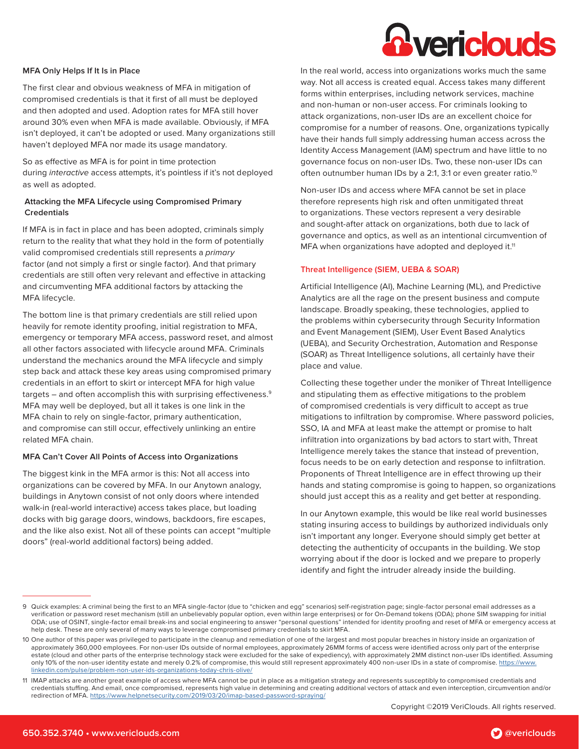# *<u>Avericlouds</u>*

### **MFA Only Helps If It Is in Place**

The first clear and obvious weakness of MFA in mitigation of compromised credentials is that it first of all must be deployed and then adopted and used. Adoption rates for MFA still hover around 30% even when MFA is made available. Obviously, if MFA isn't deployed, it can't be adopted or used. Many organizations still haven't deployed MFA nor made its usage mandatory.

So as effective as MFA is for point in time protection during interactive access attempts, it's pointless if it's not deployed as well as adopted.

# **Attacking the MFA Lifecycle using Compromised Primary Credentials**

If MFA is in fact in place and has been adopted, criminals simply return to the reality that what they hold in the form of potentially valid compromised credentials still represents a primary factor (and not simply a first or single factor). And that primary credentials are still often very relevant and effective in attacking and circumventing MFA additional factors by attacking the MFA lifecycle.

The bottom line is that primary credentials are still relied upon heavily for remote identity proofing, initial registration to MFA, emergency or temporary MFA access, password reset, and almost all other factors associated with lifecycle around MFA. Criminals understand the mechanics around the MFA lifecycle and simply step back and attack these key areas using compromised primary credentials in an effort to skirt or intercept MFA for high value targets – and often accomplish this with surprising effectiveness.<sup>9</sup> MFA may well be deployed, but all it takes is one link in the MFA chain to rely on single-factor, primary authentication, and compromise can still occur, effectively unlinking an entire related MFA chain.

#### **MFA Can't Cover All Points of Access into Organizations**

The biggest kink in the MFA armor is this: Not all access into organizations can be covered by MFA. In our Anytown analogy, buildings in Anytown consist of not only doors where intended walk-in (real-world interactive) access takes place, but loading docks with big garage doors, windows, backdoors, fire escapes, and the like also exist. Not all of these points can accept "multiple doors" (real-world additional factors) being added.

In the real world, access into organizations works much the same way. Not all access is created equal. Access takes many different forms within enterprises, including network services, machine and non-human or non-user access. For criminals looking to attack organizations, non-user IDs are an excellent choice for compromise for a number of reasons. One, organizations typically have their hands full simply addressing human access across the Identity Access Management (IAM) spectrum and have little to no governance focus on non-user IDs. Two, these non-user IDs can often outnumber human IDs by a 2:1, 3:1 or even greater ratio.<sup>10</sup>

Non-user IDs and access where MFA cannot be set in place therefore represents high risk and often unmitigated threat to organizations. These vectors represent a very desirable and sought-after attack on organizations, both due to lack of governance and optics, as well as an intentional circumvention of MFA when organizations have adopted and deployed it.<sup>11</sup>

#### **Threat Intelligence (SIEM, UEBA & SOAR)**

Artificial Intelligence (AI), Machine Learning (ML), and Predictive Analytics are all the rage on the present business and compute landscape. Broadly speaking, these technologies, applied to the problems within cybersecurity through Security Information and Event Management (SIEM), User Event Based Analytics (UEBA), and Security Orchestration, Automation and Response (SOAR) as Threat Intelligence solutions, all certainly have their place and value.

Collecting these together under the moniker of Threat Intelligence and stipulating them as effective mitigations to the problem of compromised credentials is very difficult to accept as true mitigations to infiltration by compromise. Where password policies, SSO, IA and MFA at least make the attempt or promise to halt infiltration into organizations by bad actors to start with, Threat Intelligence merely takes the stance that instead of prevention, focus needs to be on early detection and response to infiltration. Proponents of Threat Intelligence are in effect throwing up their hands and stating compromise is going to happen, so organizations should just accept this as a reality and get better at responding.

In our Anytown example, this would be like real world businesses stating insuring access to buildings by authorized individuals only isn't important any longer. Everyone should simply get better at detecting the authenticity of occupants in the building. We stop worrying about if the door is locked and we prepare to properly identify and fight the intruder already inside the building.

<sup>9</sup> Quick examples: A criminal being the first to an MFA single-factor (due to "chicken and egg" scenarios) self-registration page; single-factor personal email addresses as a verification or password reset mechanism (still an unbelievably popular option, even within large enterprises) or for On-Demand tokens (ODA); phone SIM swapping for initial ODA; use of OSINT, single-factor email break-ins and social engineering to answer "personal questions" intended for identity proofing and reset of MFA or emergency access at help desk. These are only several of many ways to leverage compromised primary credentials to skirt MFA.

<sup>10</sup> One author of this paper was privileged to participate in the cleanup and remediation of one of the largest and most popular breaches in history inside an organization of approximately 360,000 employees. For non-user IDs outside of normal employees, approximately 26MM forms of access were identified across only part of the enterprise estate (cloud and other parts of the enterprise technology stack were excluded for the sake of expediency), with approximately 2MM distinct non-user IDs identified. Assuming only 10% of the non-user identity estate and merely 0.2% of compromise, this would still represent approximately 400 non-user IDs in a state of compromise. [https://www.](https://www.linkedin.com/pulse/problem-non-user-ids-organizations-today-chris-olive/) [linkedin.com/pulse/problem-non-user-ids-organizations-today-chris-olive/](https://www.linkedin.com/pulse/problem-non-user-ids-organizations-today-chris-olive/)

<sup>11</sup> IMAP attacks are another great example of access where MFA cannot be put in place as a mitigation strategy and represents susceptibly to compromised credentials and credentials stuffing. And email, once compromised, represents high value in determining and creating additional vectors of attack and even interception, circumvention and/or redirection of MFA.<https://www.helpnetsecurity.com/2019/03/20/imap-based-password-spraying/>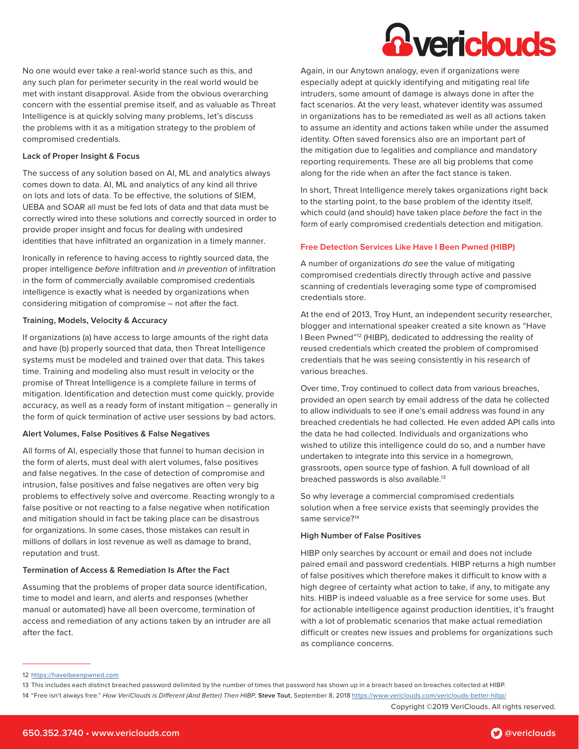

No one would ever take a real-world stance such as this, and any such plan for perimeter security in the real world would be met with instant disapproval. Aside from the obvious overarching concern with the essential premise itself, and as valuable as Threat Intelligence is at quickly solving many problems, let's discuss the problems with it as a mitigation strategy to the problem of compromised credentials.

# **Lack of Proper Insight & Focus**

The success of any solution based on AI, ML and analytics always comes down to data. AI, ML and analytics of any kind all thrive on lots and lots of data. To be effective, the solutions of SIEM, UEBA and SOAR all must be fed lots of data and that data must be correctly wired into these solutions and correctly sourced in order to provide proper insight and focus for dealing with undesired identities that have infiltrated an organization in a timely manner.

Ironically in reference to having access to rightly sourced data, the proper intelligence before infiltration and in prevention of infiltration in the form of commercially available compromised credentials intelligence is exactly what is needed by organizations when considering mitigation of compromise – not after the fact.

#### **Training, Models, Velocity & Accuracy**

If organizations (a) have access to large amounts of the right data and have (b) properly sourced that data, then Threat Intelligence systems must be modeled and trained over that data. This takes time. Training and modeling also must result in velocity or the promise of Threat Intelligence is a complete failure in terms of mitigation. Identification and detection must come quickly, provide accuracy, as well as a ready form of instant mitigation – generally in the form of quick termination of active user sessions by bad actors.

#### **Alert Volumes, False Positives & False Negatives**

All forms of AI, especially those that funnel to human decision in the form of alerts, must deal with alert volumes, false positives and false negatives. In the case of detection of compromise and intrusion, false positives and false negatives are often very big problems to effectively solve and overcome. Reacting wrongly to a false positive or not reacting to a false negative when notification and mitigation should in fact be taking place can be disastrous for organizations. In some cases, those mistakes can result in millions of dollars in lost revenue as well as damage to brand, reputation and trust.

#### **Termination of Access & Remediation Is After the Fact**

Assuming that the problems of proper data source identification, time to model and learn, and alerts and responses (whether manual or automated) have all been overcome, termination of access and remediation of any actions taken by an intruder are all after the fact.

Again, in our Anytown analogy, even if organizations were especially adept at quickly identifying and mitigating real life intruders, some amount of damage is always done in after the fact scenarios. At the very least, whatever identity was assumed in organizations has to be remediated as well as all actions taken to assume an identity and actions taken while under the assumed identity. Often saved forensics also are an important part of the mitigation due to legalities and compliance and mandatory reporting requirements. These are all big problems that come along for the ride when an after the fact stance is taken.

In short, Threat Intelligence merely takes organizations right back to the starting point, to the base problem of the identity itself, which could (and should) have taken place before the fact in the form of early compromised credentials detection and mitigation.

#### **Free Detection Services Like Have I Been Pwned (HIBP)**

A number of organizations do see the value of mitigating compromised credentials directly through active and passive scanning of credentials leveraging some type of compromised credentials store.

At the end of 2013, Troy Hunt, an independent security researcher, blogger and international speaker created a site known as "Have I Been Pwned"<sup>12</sup> (HIBP), dedicated to addressing the reality of reused credentials which created the problem of compromised credentials that he was seeing consistently in his research of various breaches.

Over time, Troy continued to collect data from various breaches, provided an open search by email address of the data he collected to allow individuals to see if one's email address was found in any breached credentials he had collected. He even added API calls into the data he had collected. Individuals and organizations who wished to utilize this intelligence could do so, and a number have undertaken to integrate into this service in a homegrown, grassroots, open source type of fashion. A full download of all breached passwords is also available.<sup>13</sup>

So why leverage a commercial compromised credentials solution when a free service exists that seemingly provides the same service?<sup>14</sup>

#### **High Number of False Positives**

HIBP only searches by account or email and does not include paired email and password credentials. HIBP returns a high number of false positives which therefore makes it difficult to know with a high degree of certainty what action to take, if any, to mitigate any hits. HIBP is indeed valuable as a free service for some uses. But for actionable intelligence against production identities, it's fraught with a lot of problematic scenarios that make actual remediation difficult or creates new issues and problems for organizations such as compliance concerns.

Copyright ©2019 VeriClouds. All rights reserved.

<sup>12</sup> <https://haveibeenpwned.com>

<sup>13</sup> This includes each distinct breached password delimited by the number of times that password has shown up in a breach based on breaches collected at HIBP.

<sup>14</sup> "Free isn't always free." How VeriClouds is Different (And Better) Then HIBP, **Steve Tout**, September 8, 2018<https://www.vericlouds.com/vericlouds-better-hibp/>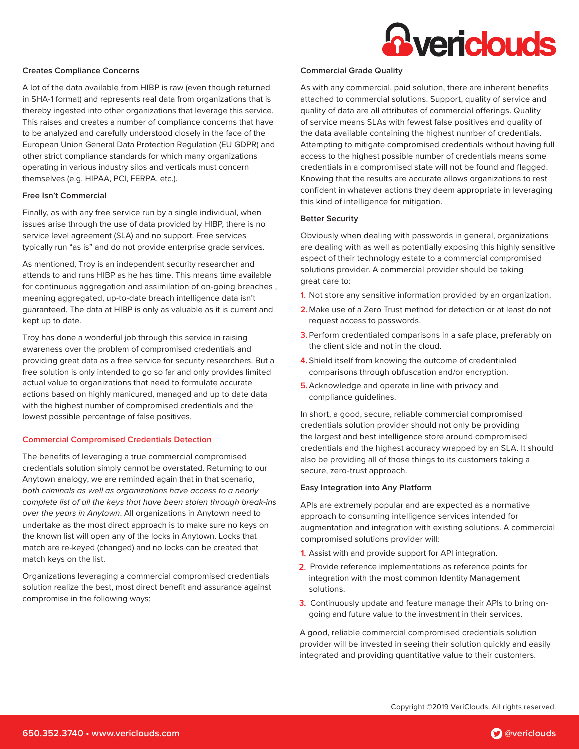

#### **Creates Compliance Concerns**

A lot of the data available from HIBP is raw (even though returned in SHA-1 format) and represents real data from organizations that is thereby ingested into other organizations that leverage this service. This raises and creates a number of compliance concerns that have to be analyzed and carefully understood closely in the face of the European Union General Data Protection Regulation (EU GDPR) and other strict compliance standards for which many organizations operating in various industry silos and verticals must concern themselves (e.g. HIPAA, PCI, FERPA, etc.).

#### **Free Isn't Commercial**

Finally, as with any free service run by a single individual, when issues arise through the use of data provided by HIBP, there is no service level agreement (SLA) and no support. Free services typically run "as is" and do not provide enterprise grade services.

As mentioned, Troy is an independent security researcher and attends to and runs HIBP as he has time. This means time available for continuous aggregation and assimilation of on-going breaches , meaning aggregated, up-to-date breach intelligence data isn't guaranteed. The data at HIBP is only as valuable as it is current and kept up to date.

Troy has done a wonderful job through this service in raising awareness over the problem of compromised credentials and providing great data as a free service for security researchers. But a free solution is only intended to go so far and only provides limited actual value to organizations that need to formulate accurate actions based on highly manicured, managed and up to date data with the highest number of compromised credentials and the lowest possible percentage of false positives.

#### **Commercial Compromised Credentials Detection**

The benefits of leveraging a true commercial compromised credentials solution simply cannot be overstated. Returning to our Anytown analogy, we are reminded again that in that scenario, both criminals as well as organizations have access to a nearly complete list of all the keys that have been stolen through break-ins over the years in Anytown. All organizations in Anytown need to undertake as the most direct approach is to make sure no keys on the known list will open any of the locks in Anytown. Locks that match are re-keyed (changed) and no locks can be created that match keys on the list.

Organizations leveraging a commercial compromised credentials solution realize the best, most direct benefit and assurance against compromise in the following ways:

#### **Commercial Grade Quality**

As with any commercial, paid solution, there are inherent benefits attached to commercial solutions. Support, quality of service and quality of data are all attributes of commercial offerings. Quality of service means SLAs with fewest false positives and quality of the data available containing the highest number of credentials. Attempting to mitigate compromised credentials without having full access to the highest possible number of credentials means some credentials in a compromised state will not be found and flagged. Knowing that the results are accurate allows organizations to rest confident in whatever actions they deem appropriate in leveraging this kind of intelligence for mitigation.

#### **Better Security**

Obviously when dealing with passwords in general, organizations are dealing with as well as potentially exposing this highly sensitive aspect of their technology estate to a commercial compromised solutions provider. A commercial provider should be taking great care to:

- **1.** Not store any sensitive information provided by an organization.
- **2.**Make use of a Zero Trust method for detection or at least do not request access to passwords.
- **3.** Perform credentialed comparisons in a safe place, preferably on the client side and not in the cloud.
- **4.** Shield itself from knowing the outcome of credentialed comparisons through obfuscation and/or encryption.
- **5.**Acknowledge and operate in line with privacy and compliance guidelines.

In short, a good, secure, reliable commercial compromised credentials solution provider should not only be providing the largest and best intelligence store around compromised credentials and the highest accuracy wrapped by an SLA. It should also be providing all of those things to its customers taking a secure, zero-trust approach.

### **Easy Integration into Any Platform**

APIs are extremely popular and are expected as a normative approach to consuming intelligence services intended for augmentation and integration with existing solutions. A commercial compromised solutions provider will:

- 1. Assist with and provide support for API integration.
- 2. Provide reference implementations as reference points for integration with the most common Identity Management solutions.
- 3. Continuously update and feature manage their APIs to bring ongoing and future value to the investment in their services.

A good, reliable commercial compromised credentials solution provider will be invested in seeing their solution quickly and easily integrated and providing quantitative value to their customers.